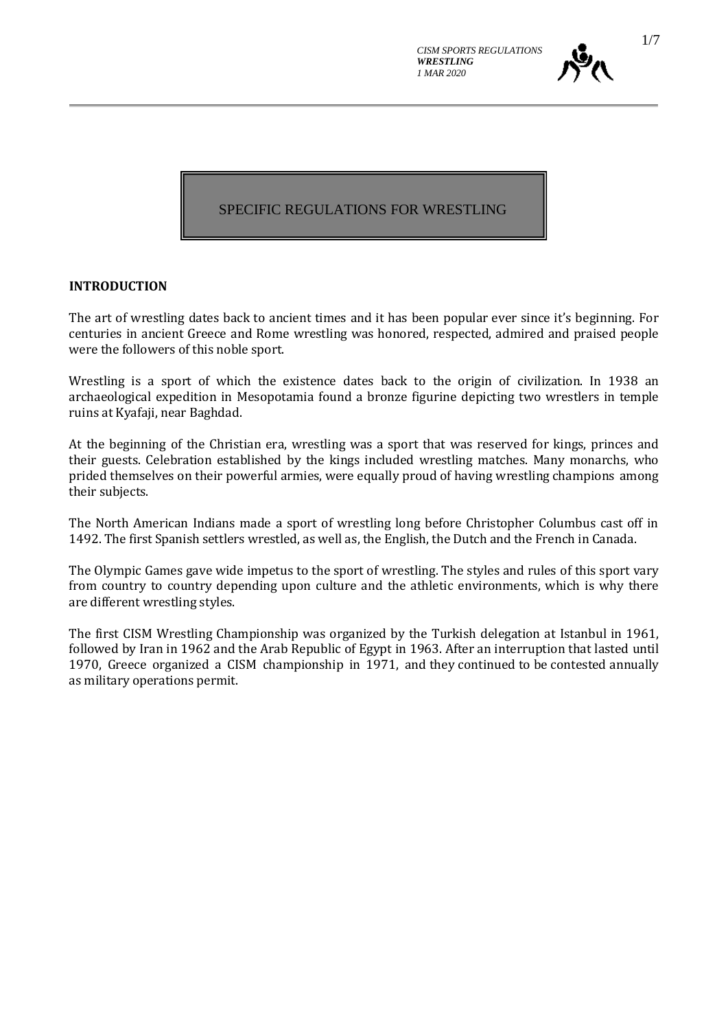

## SPECIFIC REGULATIONS FOR WRESTLING

#### **INTRODUCTION**

The art of wrestling dates back to ancient times and it has been popular ever since it's beginning. For centuries in ancient Greece and Rome wrestling was honored, respected, admired and praised people were the followers of this noble sport.

Wrestling is a sport of which the existence dates back to the origin of civilization. In 1938 an archaeological expedition in Mesopotamia found a bronze figurine depicting two wrestlers in temple ruins at Kyafaji, near Baghdad.

At the beginning of the Christian era, wrestling was a sport that was reserved for kings, princes and their guests. Celebration established by the kings included wrestling matches. Many monarchs, who prided themselves on their powerful armies, were equally proud of having wrestling champions among their subjects.

The North American Indians made a sport of wrestling long before Christopher Columbus cast off in 1492. The first Spanish settlers wrestled, as well as, the English, the Dutch and the French in Canada.

The Olympic Games gave wide impetus to the sport of wrestling. The styles and rules of this sport vary from country to country depending upon culture and the athletic environments, which is why there are different wrestling styles.

The first CISM Wrestling Championship was organized by the Turkish delegation at Istanbul in 1961, followed by Iran in 1962 and the Arab Republic of Egypt in 1963. After an interruption that lasted until 1970, Greece organized a CISM championship in 1971, and they continued to be contested annually as military operations permit.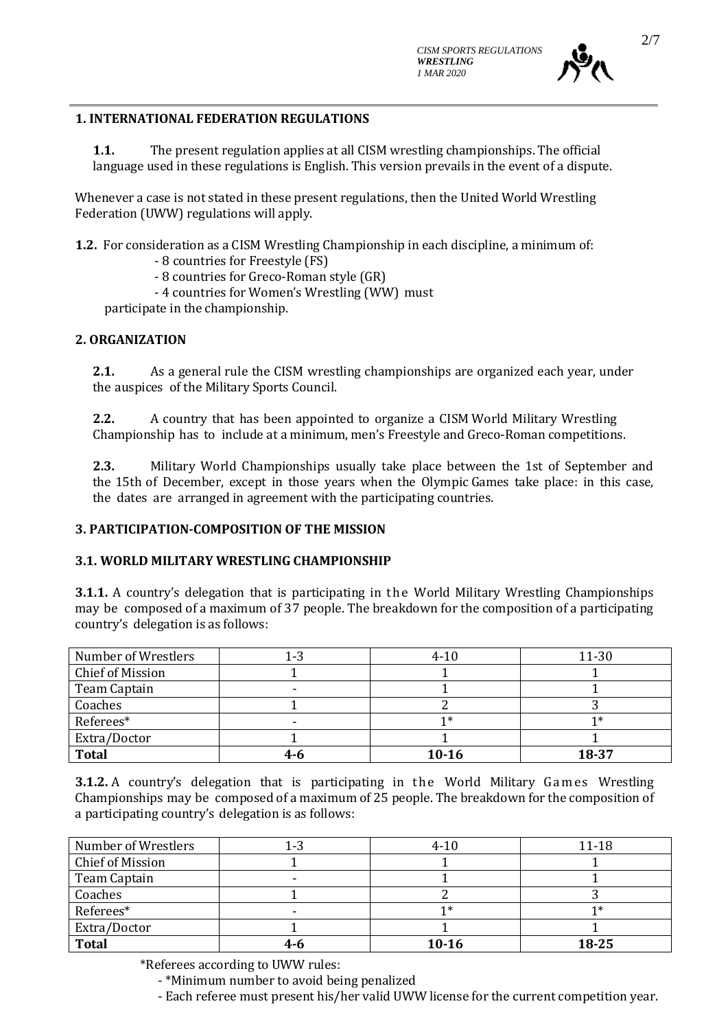

#### **1. INTERNATIONAL FEDERATION REGULATIONS**

**1.1.** The present regulation applies at all CISM wrestling championships. The official language used in these regulations is English. This version prevails in the event of a dispute.

Whenever a case is not stated in these present regulations, then the United World Wrestling Federation (UWW) regulations will apply.

**1.2.** For consideration as a CISM Wrestling Championship in each discipline, a minimum of:

- 8 countries for Freestyle (FS)

- 8 countries for Greco-Roman style (GR)

- 4 countries for Women's Wrestling (WW) must

participate in the championship.

#### **2. ORGANIZATION**

**2.1.** As a general rule the CISM wrestling championships are organized each year, under the auspices of the Military Sports Council.

**2.2.** A country that has been appointed to organize a CISM World Military Wrestling Championship has to include at a minimum, men's Freestyle and Greco-Roman competitions.

**2.3.** Military World Championships usually take place between the 1st of September and the 15th of December, except in those years when the Olympic Games take place: in this case, the dates are arranged in agreement with the participating countries.

#### **3. PARTICIPATION-COMPOSITION OF THE MISSION**

#### **3.1. WORLD MILITARY WRESTLING CHAMPIONSHIP**

**3.1.1.** A country's delegation that is participating in the World Military Wrestling Championships may be composed of a maximum of 37 people. The breakdown for the composition of a participating country's delegation is as follows:

| Number of Wrestlers     | 1-3 | $4 - 10$ | 11-30 |
|-------------------------|-----|----------|-------|
| <b>Chief of Mission</b> |     |          |       |
| Team Captain            |     |          |       |
| Coaches                 |     |          |       |
| Referees*               |     |          |       |
| Extra/Doctor            |     |          |       |
| <b>Total</b>            | 4-6 | $10-16$  | 18-37 |

**3.1.2.** A country's delegation that is participating in the World Military Games Wrestling Championships may be composed of a maximum of 25 people. The breakdown for the composition of a participating country's delegation is as follows:

| Number of Wrestlers | 1-3     | $4 - 10$  | 11-18 |
|---------------------|---------|-----------|-------|
| Chief of Mission    |         |           |       |
| Team Captain        |         |           |       |
| Coaches             |         |           |       |
| Referees*           |         |           |       |
| Extra/Doctor        |         |           |       |
| <b>Total</b>        | $4 - 6$ | $10 - 16$ | 18-25 |

\*Referees according to UWW rules:

- \*Minimum number to avoid being penalized

- Each referee must present his/her valid UWW license for the current competition year.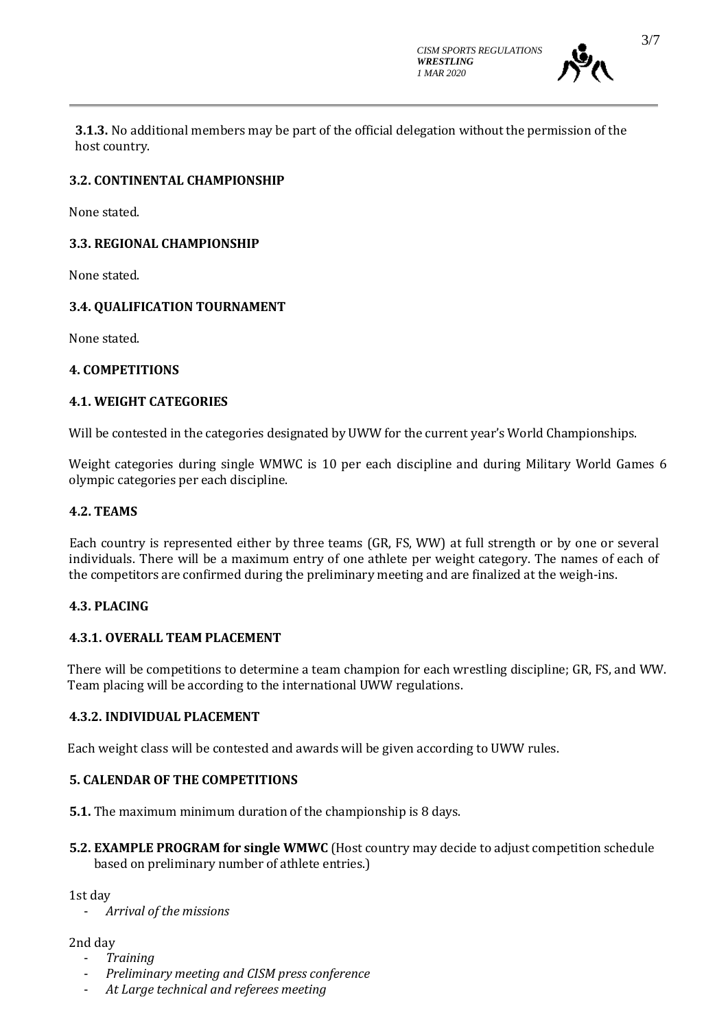*CISM SPORTS REGULATIONS WRESTLING 1 MAR 2020*



**3.1.3.** No additional members may be part of the official delegation without the permission of the host country.

## **3.2. CONTINENTAL CHAMPIONSHIP**

None stated.

# **3.3. REGIONAL CHAMPIONSHIP**

None stated.

# **3.4. QUALIFICATION TOURNAMENT**

None stated.

## **4. COMPETITIONS**

### **4.1. WEIGHT CATEGORIES**

Will be contested in the categories designated by UWW for the current year's World Championships.

Weight categories during single WMWC is 10 per each discipline and during Military World Games 6 olympic categories per each discipline.

### **4.2. TEAMS**

Each country is represented either by three teams (GR, FS, WW) at full strength or by one or several individuals. There will be a maximum entry of one athlete per weight category. The names of each of the competitors are confirmed during the preliminary meeting and are finalized at the weigh-ins.

## **4.3. PLACING**

## **4.3.1. OVERALL TEAM PLACEMENT**

There will be competitions to determine a team champion for each wrestling discipline; GR, FS, and WW. Team placing will be according to the international UWW regulations.

#### **4.3.2. INDIVIDUAL PLACEMENT**

Each weight class will be contested and awards will be given according to UWW rules.

## **5. CALENDAR OF THE COMPETITIONS**

**5.1.** The maximum minimum duration of the championship is 8 days.

**5.2. EXAMPLE PROGRAM for single WMWC** (Host country may decide to adjust competition schedule based on preliminary number of athlete entries.)

1st day

- *Arrival of the missions*

2nd day

- *Training*
- *Preliminary meeting and CISM press conference*
- *At Large technical and referees meeting*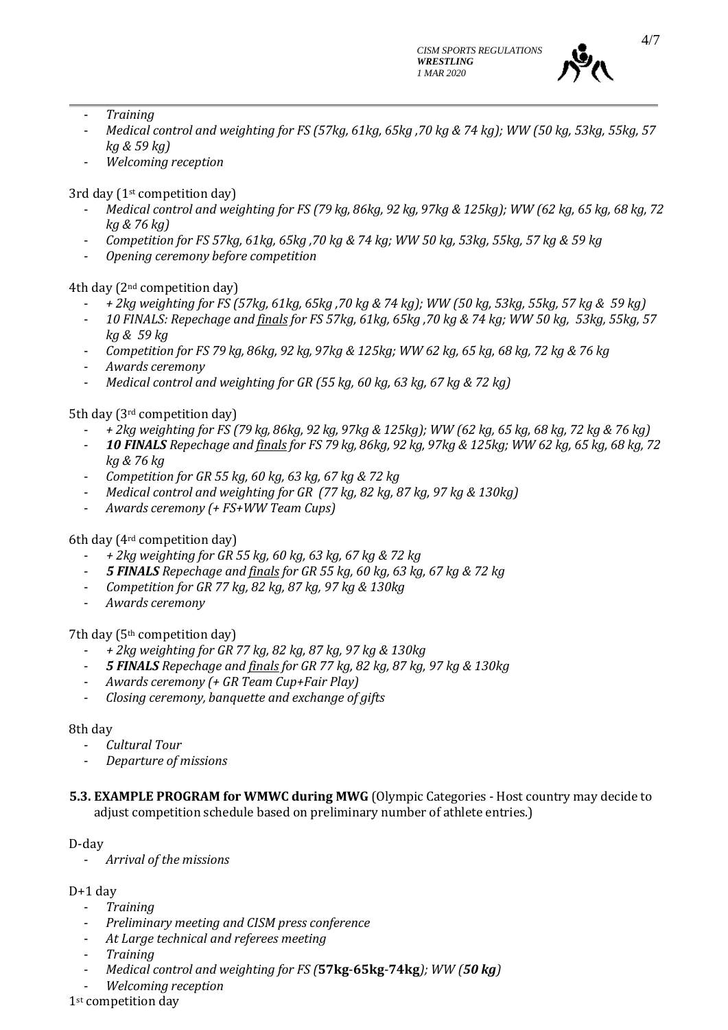

- *Training*
- *Medical control and weighting for FS (57kg, 61kg, 65kg ,70 kg & 74 kg); WW (50 kg, 53kg, 55kg, 57 kg & 59 kg)*
- *Welcoming reception*

3rd day (1st competition day)

- *Medical control and weighting for FS (79 kg, 86kg, 92 kg, 97kg & 125kg); WW (62 kg, 65 kg, 68 kg, 72 kg & 76 kg)*
- *Competition for FS 57kg, 61kg, 65kg ,70 kg & 74 kg; WW 50 kg, 53kg, 55kg, 57 kg & 59 kg*
- *Opening ceremony before competition*

4th day (2nd competition day)

- *+ 2kg weighting for FS (57kg, 61kg, 65kg ,70 kg & 74 kg); WW (50 kg, 53kg, 55kg, 57 kg & 59 kg)*
- *10 FINALS: Repechage and finals for FS 57kg, 61kg, 65kg ,70 kg & 74 kg; WW 50 kg, 53kg, 55kg, 57 kg & 59 kg*
- *Competition for FS 79 kg, 86kg, 92 kg, 97kg & 125kg; WW 62 kg, 65 kg, 68 kg, 72 kg & 76 kg*
- *Awards ceremony*
- *Medical control and weighting for GR (55 kg, 60 kg, 63 kg, 67 kg & 72 kg)*

5th day (3rd competition day)

- *+ 2kg weighting for FS (79 kg, 86kg, 92 kg, 97kg & 125kg); WW (62 kg, 65 kg, 68 kg, 72 kg & 76 kg)*
- *10 FINALS Repechage and finals for FS 79 kg, 86kg, 92 kg, 97kg & 125kg; WW 62 kg, 65 kg, 68 kg, 72 kg & 76 kg*
- *Competition for GR 55 kg, 60 kg, 63 kg, 67 kg & 72 kg*
- *Medical control and weighting for GR (77 kg, 82 kg, 87 kg, 97 kg & 130kg)*
- *Awards ceremony (+ FS+WW Team Cups)*

## 6th day (4rd competition day)

- *+ 2kg weighting for GR 55 kg, 60 kg, 63 kg, 67 kg & 72 kg*
- *5 FINALS Repechage and finals for GR 55 kg, 60 kg, 63 kg, 67 kg & 72 kg*
- *Competition for GR 77 kg, 82 kg, 87 kg, 97 kg & 130kg*
- *Awards ceremony*

7th day (5th competition day)

- *+ 2kg weighting for GR 77 kg, 82 kg, 87 kg, 97 kg & 130kg*
- *5 FINALS Repechage and finals for GR 77 kg, 82 kg, 87 kg, 97 kg & 130kg*
- *Awards ceremony (+ GR Team Cup+Fair Play)*
- *Closing ceremony, banquette and exchange of gifts*

#### 8th day

- *Cultural Tour*
- *Departure of missions*
- **5.3. EXAMPLE PROGRAM for WMWC during MWG** (Olympic Categories Host country may decide to adjust competition schedule based on preliminary number of athlete entries.)

#### D-day

- *Arrival of the missions*

## $D+1$  day

- *Training*
- *Preliminary meeting and CISM press conference*
- *At Large technical and referees meeting*
- *Training*
- *Medical control and weighting for FS (***57kg**-**65kg**-**74kg***); WW (50 kg)*
- *Welcoming reception*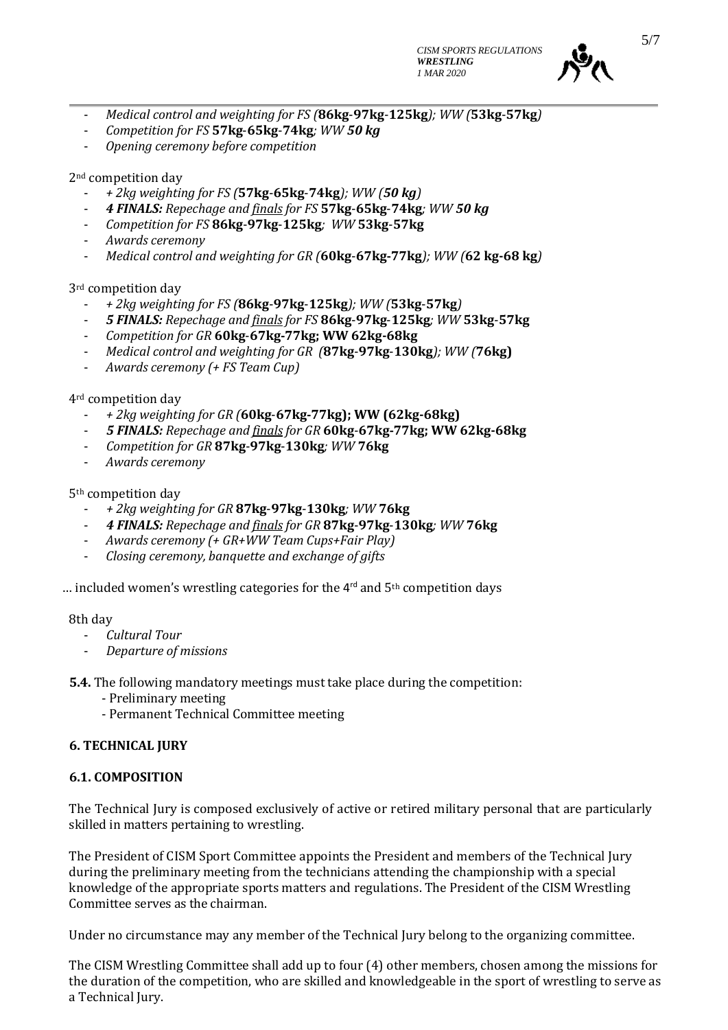

- *Medical control and weighting for FS (***86kg**-**97kg**-**125kg***); WW (***53kg**-**57kg***)*
- *Competition for FS* **57kg**-**65kg**-**74kg***; WW 50 kg*
- *Opening ceremony before competition*

2nd competition day

- *+ 2kg weighting for FS (***57kg**-**65kg**-**74kg***); WW (50 kg)*
- *4 FINALS: Repechage and finals for FS* **57kg**-**65kg**-**74kg***; WW 50 kg*
- *Competition for FS* **86kg**-**97kg**-**125kg***; WW* **53kg**-**57kg**
- *Awards ceremony*
- *Medical control and weighting for GR (***60kg**-**67kg-77kg***); WW (***62 kg-68 kg***)*

3rd competition day

- *+ 2kg weighting for FS (***86kg**-**97kg**-**125kg***); WW (***53kg**-**57kg***)*
- *5 FINALS: Repechage and finals for FS* **86kg**-**97kg**-**125kg***; WW* **53kg**-**57kg**
- *Competition for GR* **60kg**-**67kg-77kg; WW 62kg-68kg**
- *Medical control and weighting for GR (***87kg**-**97kg**-**130kg***); WW (***76kg)**
- *Awards ceremony (+ FS Team Cup)*

4rd competition day

- *+ 2kg weighting for GR (***60kg**-**67kg-77kg); WW (62kg-68kg)**
- *5 FINALS: Repechage and finals for GR* **60kg**-**67kg-77kg; WW 62kg-68kg**
- *Competition for GR* **87kg**-**97kg**-**130kg***; WW* **76kg**
- *Awards ceremony*

5th competition day

- *+ 2kg weighting for GR* **87kg**-**97kg**-**130kg***; WW* **76kg**
- *4 FINALS: Repechage and finals for GR* **87kg**-**97kg**-**130kg***; WW* **76kg**
- *Awards ceremony (+ GR+WW Team Cups+Fair Play)*
- *Closing ceremony, banquette and exchange of gifts*

... included women's wrestling categories for the  $4^{rd}$  and  $5^{th}$  competition days

8th day

- *Cultural Tour*
- *Departure of missions*

**5.4.** The following mandatory meetings must take place during the competition:

- Preliminary meeting
- Permanent Technical Committee meeting

#### **6. TECHNICAL JURY**

#### **6.1. COMPOSITION**

The Technical Jury is composed exclusively of active or retired military personal that are particularly skilled in matters pertaining to wrestling.

The President of CISM Sport Committee appoints the President and members of the Technical Jury during the preliminary meeting from the technicians attending the championship with a special knowledge of the appropriate sports matters and regulations. The President of the CISM Wrestling Committee serves as the chairman.

Under no circumstance may any member of the Technical Jury belong to the organizing committee.

The CISM Wrestling Committee shall add up to four (4) other members, chosen among the missions for the duration of the competition, who are skilled and knowledgeable in the sport of wrestling to serve as a Technical Jury.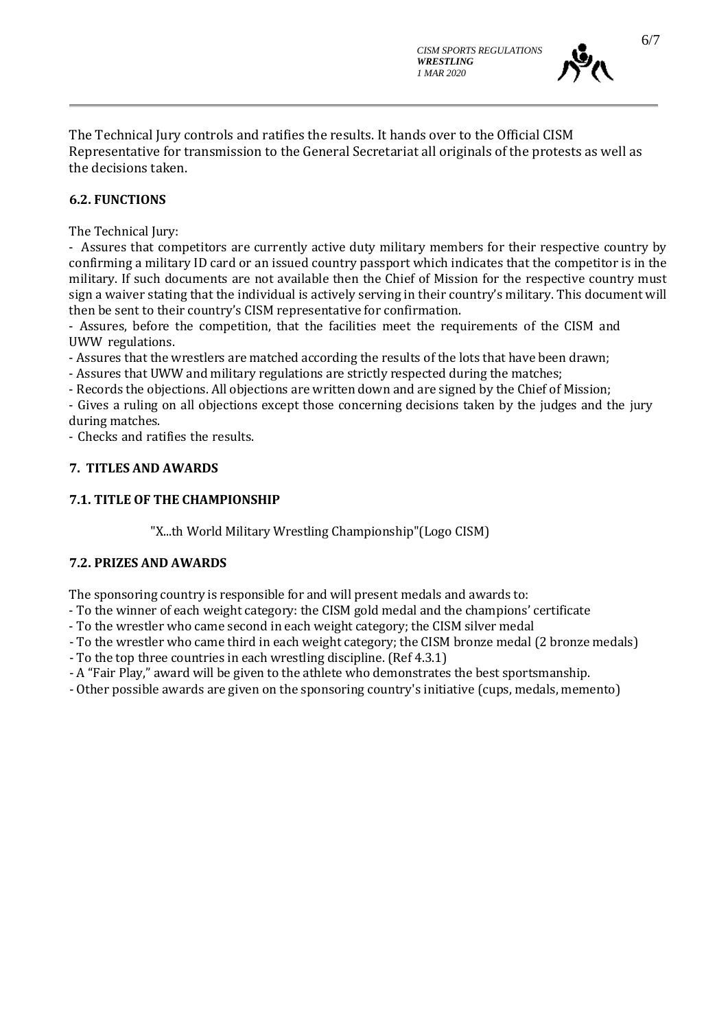

The Technical Jury controls and ratifies the results. It hands over to the Official CISM Representative for transmission to the General Secretariat all originals of the protests as well as the decisions taken.

### **6.2. FUNCTIONS**

The Technical Jury:

- Assures that competitors are currently active duty military members for their respective country by confirming a military ID card or an issued country passport which indicates that the competitor is in the military. If such documents are not available then the Chief of Mission for the respective country must sign a waiver stating that the individual is actively serving in their country's military. This document will then be sent to their country's CISM representative for confirmation.

- Assures, before the competition, that the facilities meet the requirements of the CISM and UWW regulations.

- Assures that the wrestlers are matched according the results of the lots that have been drawn;

- Assures that UWW and military regulations are strictly respected during the matches;

- Records the objections. All objections are written down and are signed by the Chief of Mission;

- Gives a ruling on all objections except those concerning decisions taken by the judges and the jury during matches.

- Checks and ratifies the results.

#### **7. TITLES AND AWARDS**

#### **7.1. TITLE OF THE CHAMPIONSHIP**

"X...th World Military Wrestling Championship"(Logo CISM)

#### **7.2. PRIZES AND AWARDS**

The sponsoring country is responsible for and will present medals and awards to:

- To the winner of each weight category: the CISM gold medal and the champions' certificate
- To the wrestler who came second in each weight category; the CISM silver medal
- To the wrestler who came third in each weight category; the CISM bronze medal (2 bronze medals)
- To the top three countries in each wrestling discipline. (Ref 4.3.1)
- A "Fair Play," award will be given to the athlete who demonstrates the best sportsmanship.
- Other possible awards are given on the sponsoring country's initiative (cups, medals, memento)